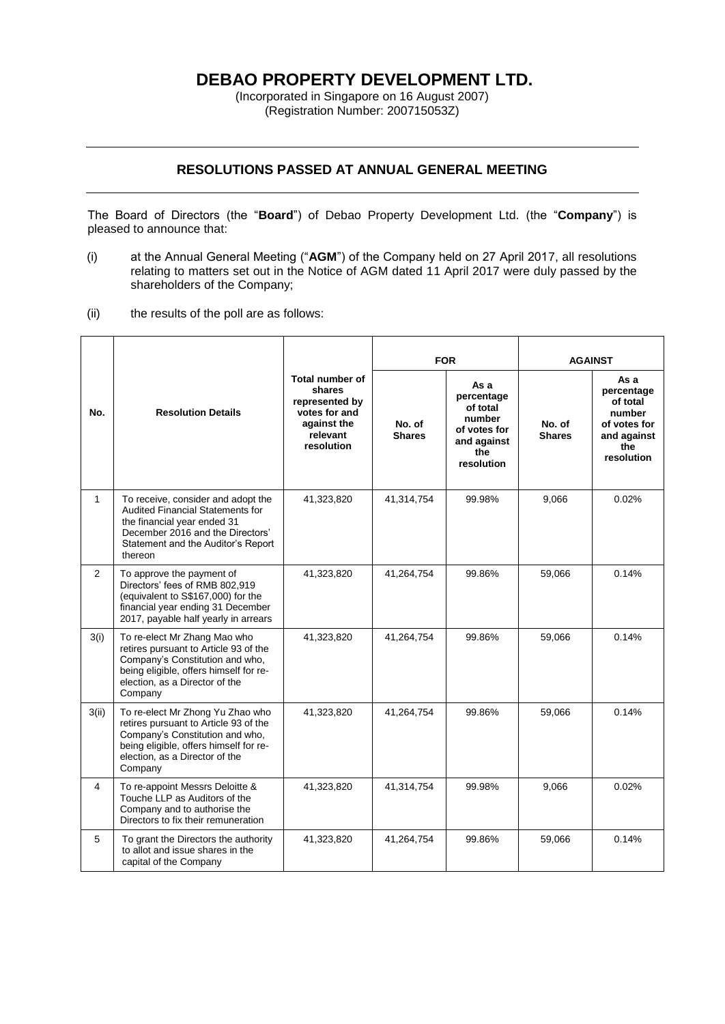# **DEBAO PROPERTY DEVELOPMENT LTD.**

(Incorporated in Singapore on 16 August 2007) (Registration Number: 200715053Z)

## **RESOLUTIONS PASSED AT ANNUAL GENERAL MEETING**

The Board of Directors (the "**Board**") of Debao Property Development Ltd. (the "**Company**") is pleased to announce that:

- (i) at the Annual General Meeting ("**AGM**") of the Company held on 27 April 2017, all resolutions relating to matters set out in the Notice of AGM dated 11 April 2017 were duly passed by the shareholders of the Company;
- (ii) the results of the poll are as follows:

| No.            | <b>Resolution Details</b>                                                                                                                                                                           | <b>Total number of</b><br>shares<br>represented by<br>votes for and<br>against the<br>relevant<br>resolution | <b>FOR</b>              |                                                                                              | <b>AGAINST</b>          |                                                                                              |
|----------------|-----------------------------------------------------------------------------------------------------------------------------------------------------------------------------------------------------|--------------------------------------------------------------------------------------------------------------|-------------------------|----------------------------------------------------------------------------------------------|-------------------------|----------------------------------------------------------------------------------------------|
|                |                                                                                                                                                                                                     |                                                                                                              | No. of<br><b>Shares</b> | As a<br>percentage<br>of total<br>number<br>of votes for<br>and against<br>the<br>resolution | No. of<br><b>Shares</b> | As a<br>percentage<br>of total<br>number<br>of votes for<br>and against<br>the<br>resolution |
| $\mathbf{1}$   | To receive, consider and adopt the<br><b>Audited Financial Statements for</b><br>the financial year ended 31<br>December 2016 and the Directors'<br>Statement and the Auditor's Report<br>thereon   | 41,323,820                                                                                                   | 41,314,754              | 99.98%                                                                                       | 9,066                   | 0.02%                                                                                        |
| $\overline{2}$ | To approve the payment of<br>Directors' fees of RMB 802,919<br>(equivalent to S\$167,000) for the<br>financial year ending 31 December<br>2017, payable half yearly in arrears                      | 41,323,820                                                                                                   | 41,264,754              | 99.86%                                                                                       | 59,066                  | 0.14%                                                                                        |
| 3(i)           | To re-elect Mr Zhang Mao who<br>retires pursuant to Article 93 of the<br>Company's Constitution and who,<br>being eligible, offers himself for re-<br>election, as a Director of the<br>Company     | 41,323,820                                                                                                   | 41,264,754              | 99.86%                                                                                       | 59,066                  | 0.14%                                                                                        |
| 3(ii)          | To re-elect Mr Zhong Yu Zhao who<br>retires pursuant to Article 93 of the<br>Company's Constitution and who,<br>being eligible, offers himself for re-<br>election, as a Director of the<br>Company | 41,323,820                                                                                                   | 41,264,754              | 99.86%                                                                                       | 59.066                  | 0.14%                                                                                        |
| 4              | To re-appoint Messrs Deloitte &<br>Touche LLP as Auditors of the<br>Company and to authorise the<br>Directors to fix their remuneration                                                             | 41,323,820                                                                                                   | 41,314,754              | 99.98%                                                                                       | 9,066                   | 0.02%                                                                                        |
| 5              | To grant the Directors the authority<br>to allot and issue shares in the<br>capital of the Company                                                                                                  | 41,323,820                                                                                                   | 41,264,754              | 99.86%                                                                                       | 59,066                  | 0.14%                                                                                        |